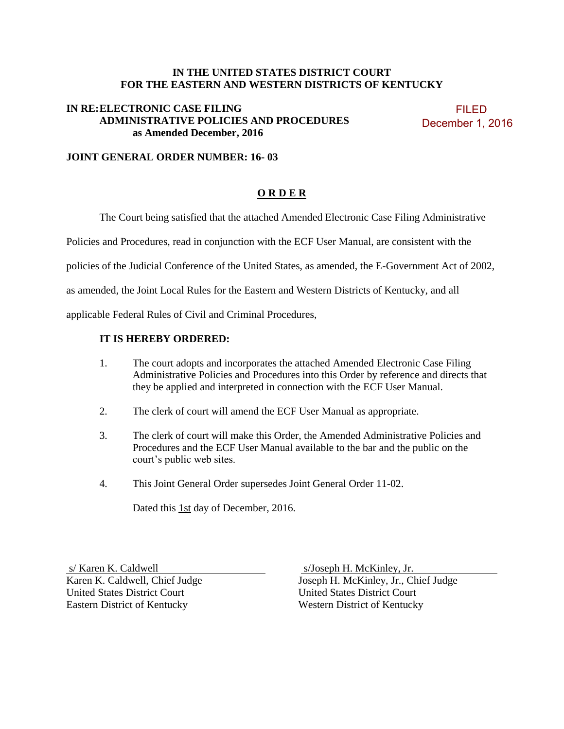#### **IN THE UNITED STATES DISTRICT COURT FOR THE EASTERN AND WESTERN DISTRICTS OF KENTUCKY**

#### **IN RE: ELECTRONIC CASE FILING ADMINISTRATIVE POLICIES AND PROCEDURES as Amended December, 2016**

 FILED December 1, 2016

### **JOINT GENERAL ORDER NUMBER: 16- 03**

#### **O R D E R**

The Court being satisfied that the attached Amended Electronic Case Filing Administrative

Policies and Procedures, read in conjunction with the ECF User Manual, are consistent with the

policies of the Judicial Conference of the United States, as amended, the E-Government Act of 2002,

as amended, the Joint Local Rules for the Eastern and Western Districts of Kentucky, and all

applicable Federal Rules of Civil and Criminal Procedures,

#### **IT IS HEREBY ORDERED:**

- 1. The court adopts and incorporates the attached Amended Electronic Case Filing Administrative Policies and Procedures into this Order by reference and directs that they be applied and interpreted in connection with the ECF User Manual.
- 2. The clerk of court will amend the ECF User Manual as appropriate.
- 3. The clerk of court will make this Order, the Amended Administrative Policies and Procedures and the ECF User Manual available to the bar and the public on the court's public web sites.
- 4. This Joint General Order supersedes Joint General Order 11-02.

Dated this 1st day of December, 2016.

s/Karen K. Caldwell s/Joseph H. McKinley, Jr. United States District Court United States District Court Eastern District of Kentucky Western District of Kentucky

Karen K. Caldwell, Chief Judge Joseph H. McKinley, Jr., Chief Judge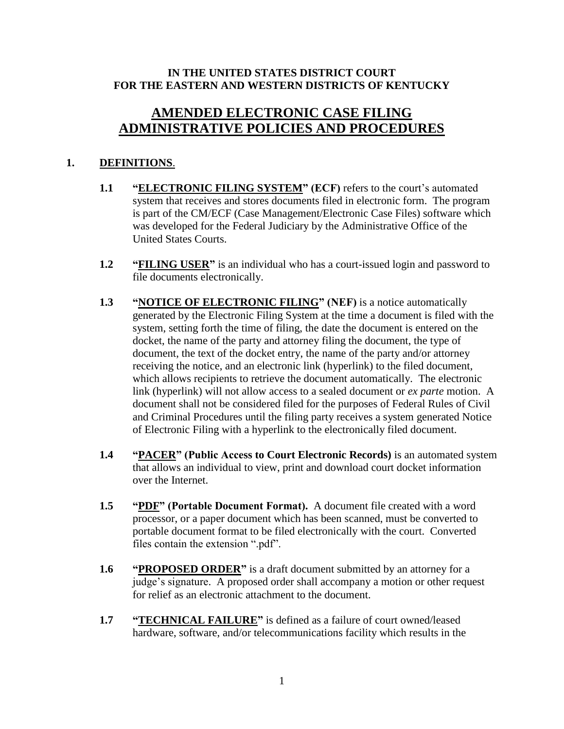## **IN THE UNITED STATES DISTRICT COURT FOR THE EASTERN AND WESTERN DISTRICTS OF KENTUCKY**

# **AMENDED ELECTRONIC CASE FILING ADMINISTRATIVE POLICIES AND PROCEDURES**

# **1. DEFINITIONS**.

- 1.1 **"ELECTRONIC FILING SYSTEM"** (ECF) refers to the court's automated system that receives and stores documents filed in electronic form. The program is part of the CM/ECF (Case Management/Electronic Case Files) software which was developed for the Federal Judiciary by the Administrative Office of the United States Courts.
- **1.2 "FILING USER"** is an individual who has a court-issued login and password to file documents electronically.
- **1.3 "NOTICE OF ELECTRONIC FILING" (NEF)** is a notice automatically generated by the Electronic Filing System at the time a document is filed with the system, setting forth the time of filing, the date the document is entered on the docket, the name of the party and attorney filing the document, the type of document, the text of the docket entry, the name of the party and/or attorney receiving the notice, and an electronic link (hyperlink) to the filed document, which allows recipients to retrieve the document automatically. The electronic link (hyperlink) will not allow access to a sealed document or *ex parte* motion. A document shall not be considered filed for the purposes of Federal Rules of Civil and Criminal Procedures until the filing party receives a system generated Notice of Electronic Filing with a hyperlink to the electronically filed document.
- **1.4 "PACER" (Public Access to Court Electronic Records)** is an automated system that allows an individual to view, print and download court docket information over the Internet.
- **1.5 "PDF" (Portable Document Format).** A document file created with a word processor, or a paper document which has been scanned, must be converted to portable document format to be filed electronically with the court. Converted files contain the extension ".pdf".
- **1.6 "PROPOSED ORDER"** is a draft document submitted by an attorney for a judge's signature. A proposed order shall accompany a motion or other request for relief as an electronic attachment to the document.
- **1.7 "TECHNICAL FAILURE"** is defined as a failure of court owned/leased hardware, software, and/or telecommunications facility which results in the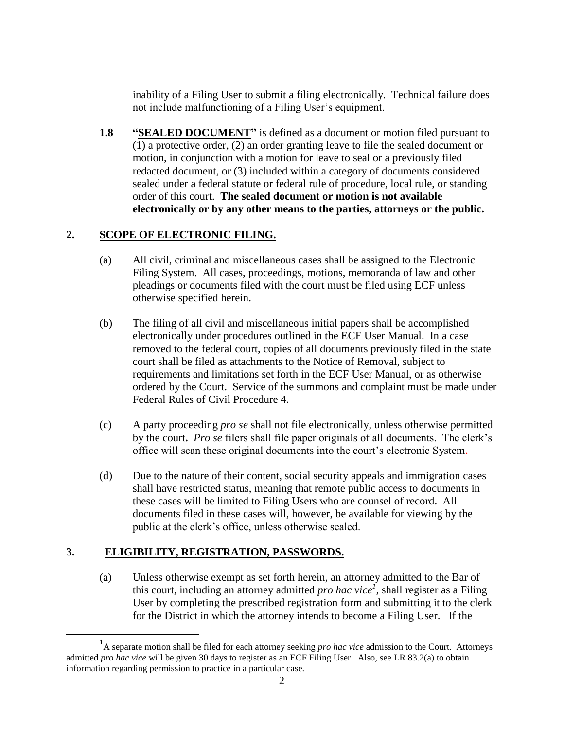inability of a Filing User to submit a filing electronically. Technical failure does not include malfunctioning of a Filing User's equipment.

**1.8 "SEALED DOCUMENT"** is defined as a document or motion filed pursuant to (1) a protective order, (2) an order granting leave to file the sealed document or motion, in conjunction with a motion for leave to seal or a previously filed redacted document, or (3) included within a category of documents considered sealed under a federal statute or federal rule of procedure, local rule, or standing order of this court. **The sealed document or motion is not available electronically or by any other means to the parties, attorneys or the public.**

# **2. SCOPE OF ELECTRONIC FILING.**

- (a) All civil, criminal and miscellaneous cases shall be assigned to the Electronic Filing System. All cases, proceedings, motions, memoranda of law and other pleadings or documents filed with the court must be filed using ECF unless otherwise specified herein.
- (b) The filing of all civil and miscellaneous initial papers shall be accomplished electronically under procedures outlined in the ECF User Manual. In a case removed to the federal court, copies of all documents previously filed in the state court shall be filed as attachments to the Notice of Removal, subject to requirements and limitations set forth in the ECF User Manual, or as otherwise ordered by the Court. Service of the summons and complaint must be made under Federal Rules of Civil Procedure 4.
- (c) A party proceeding *pro se* shall not file electronically, unless otherwise permitted by the court**.** *Pro se* filers shall file paper originals of all documents. The clerk's office will scan these original documents into the court's electronic System.
- (d) Due to the nature of their content, social security appeals and immigration cases shall have restricted status, meaning that remote public access to documents in these cases will be limited to Filing Users who are counsel of record. All documents filed in these cases will, however, be available for viewing by the public at the clerk's office, unless otherwise sealed.

# **3. ELIGIBILITY, REGISTRATION, PASSWORDS.**

 $\overline{a}$ 

(a) Unless otherwise exempt as set forth herein, an attorney admitted to the Bar of this court, including an attorney admitted *pro hac vice*<sup> $I$ </sup>, shall register as a Filing User by completing the prescribed registration form and submitting it to the clerk for the District in which the attorney intends to become a Filing User. If the

<sup>&</sup>lt;sup>1</sup>A separate motion shall be filed for each attorney seeking *pro hac vice* admission to the Court. Attorneys admitted *pro hac vice* will be given 30 days to register as an ECF Filing User. Also, see LR 83.2(a) to obtain information regarding permission to practice in a particular case.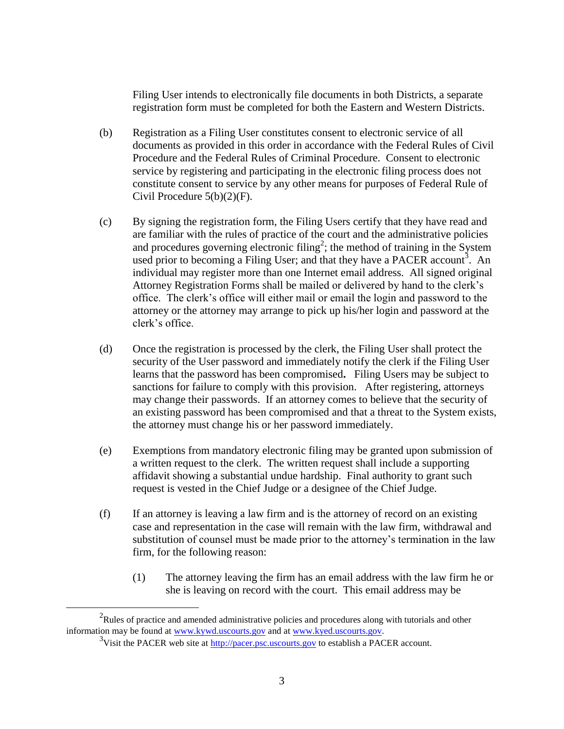Filing User intends to electronically file documents in both Districts, a separate registration form must be completed for both the Eastern and Western Districts.

- (b) Registration as a Filing User constitutes consent to electronic service of all documents as provided in this order in accordance with the Federal Rules of Civil Procedure and the Federal Rules of Criminal Procedure. Consent to electronic service by registering and participating in the electronic filing process does not constitute consent to service by any other means for purposes of Federal Rule of Civil Procedure 5(b)(2)(F).
- (c) By signing the registration form, the Filing Users certify that they have read and are familiar with the rules of practice of the court and the administrative policies and procedures governing electronic filing<sup>2</sup>; the method of training in the System used prior to becoming a Filing User; and that they have a PACER account<sup>3</sup>. An individual may register more than one Internet email address. All signed original Attorney Registration Forms shall be mailed or delivered by hand to the clerk's office. The clerk's office will either mail or email the login and password to the attorney or the attorney may arrange to pick up his/her login and password at the clerk's office.
- (d) Once the registration is processed by the clerk, the Filing User shall protect the security of the User password and immediately notify the clerk if the Filing User learns that the password has been compromised**.** Filing Users may be subject to sanctions for failure to comply with this provision. After registering, attorneys may change their passwords. If an attorney comes to believe that the security of an existing password has been compromised and that a threat to the System exists, the attorney must change his or her password immediately.
- (e) Exemptions from mandatory electronic filing may be granted upon submission of a written request to the clerk. The written request shall include a supporting affidavit showing a substantial undue hardship. Final authority to grant such request is vested in the Chief Judge or a designee of the Chief Judge.
- (f) If an attorney is leaving a law firm and is the attorney of record on an existing case and representation in the case will remain with the law firm, withdrawal and substitution of counsel must be made prior to the attorney's termination in the law firm, for the following reason:
	- (1) The attorney leaving the firm has an email address with the law firm he or she is leaving on record with the court. This email address may be

 $\overline{a}$ 

 $2R$ ules of practice and amended administrative policies and procedures along with tutorials and other information may be found at [www.kywd.uscourts.gov](http://www.kywd.uscourts.gov./) and at [www.kyed.uscourts.gov.](http://www.kyed.uscourts.gov/)

<sup>&</sup>lt;sup>3</sup>Visit the PACER web site a[t http://pacer.psc.uscourts.gov](http://pacer.psc.uscourts.gov/) to establish a PACER account.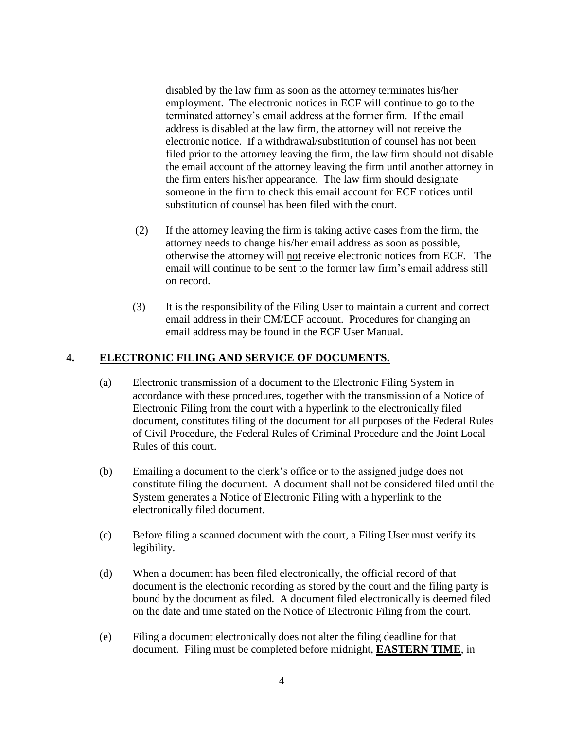disabled by the law firm as soon as the attorney terminates his/her employment. The electronic notices in ECF will continue to go to the terminated attorney's email address at the former firm. If the email address is disabled at the law firm, the attorney will not receive the electronic notice. If a withdrawal/substitution of counsel has not been filed prior to the attorney leaving the firm, the law firm should not disable the email account of the attorney leaving the firm until another attorney in the firm enters his/her appearance. The law firm should designate someone in the firm to check this email account for ECF notices until substitution of counsel has been filed with the court.

- (2) If the attorney leaving the firm is taking active cases from the firm, the attorney needs to change his/her email address as soon as possible, otherwise the attorney will not receive electronic notices from ECF. The email will continue to be sent to the former law firm's email address still on record.
- (3) It is the responsibility of the Filing User to maintain a current and correct email address in their CM/ECF account. Procedures for changing an email address may be found in the ECF User Manual.

### **4. ELECTRONIC FILING AND SERVICE OF DOCUMENTS.**

- (a) Electronic transmission of a document to the Electronic Filing System in accordance with these procedures, together with the transmission of a Notice of Electronic Filing from the court with a hyperlink to the electronically filed document, constitutes filing of the document for all purposes of the Federal Rules of Civil Procedure, the Federal Rules of Criminal Procedure and the Joint Local Rules of this court.
- (b) Emailing a document to the clerk's office or to the assigned judge does not constitute filing the document. A document shall not be considered filed until the System generates a Notice of Electronic Filing with a hyperlink to the electronically filed document.
- (c) Before filing a scanned document with the court, a Filing User must verify its legibility.
- (d) When a document has been filed electronically, the official record of that document is the electronic recording as stored by the court and the filing party is bound by the document as filed. A document filed electronically is deemed filed on the date and time stated on the Notice of Electronic Filing from the court.
- (e) Filing a document electronically does not alter the filing deadline for that document. Filing must be completed before midnight, **EASTERN TIME**, in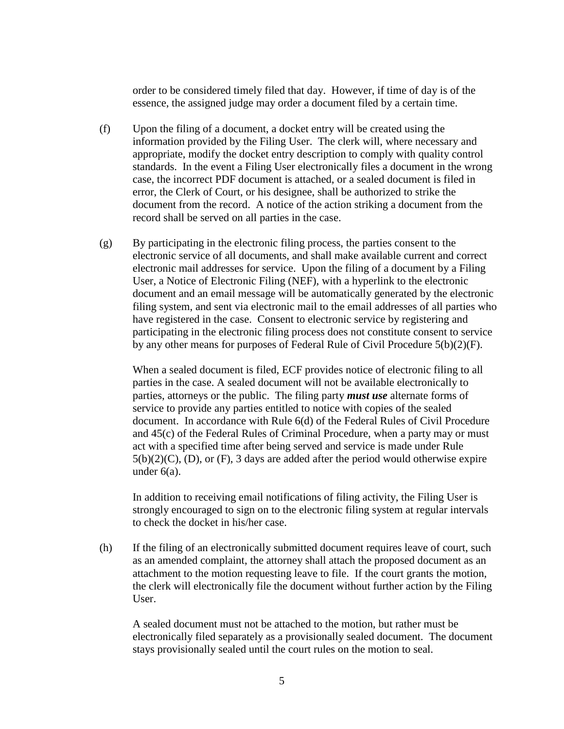order to be considered timely filed that day. However, if time of day is of the essence, the assigned judge may order a document filed by a certain time.

- (f) Upon the filing of a document, a docket entry will be created using the information provided by the Filing User. The clerk will, where necessary and appropriate, modify the docket entry description to comply with quality control standards. In the event a Filing User electronically files a document in the wrong case, the incorrect PDF document is attached, or a sealed document is filed in error, the Clerk of Court, or his designee, shall be authorized to strike the document from the record. A notice of the action striking a document from the record shall be served on all parties in the case.
- (g) By participating in the electronic filing process, the parties consent to the electronic service of all documents, and shall make available current and correct electronic mail addresses for service. Upon the filing of a document by a Filing User, a Notice of Electronic Filing (NEF), with a hyperlink to the electronic document and an email message will be automatically generated by the electronic filing system, and sent via electronic mail to the email addresses of all parties who have registered in the case. Consent to electronic service by registering and participating in the electronic filing process does not constitute consent to service by any other means for purposes of Federal Rule of Civil Procedure 5(b)(2)(F).

When a sealed document is filed, ECF provides notice of electronic filing to all parties in the case. A sealed document will not be available electronically to parties, attorneys or the public. The filing party *must use* alternate forms of service to provide any parties entitled to notice with copies of the sealed document. In accordance with Rule 6(d) of the Federal Rules of Civil Procedure and 45(c) of the Federal Rules of Criminal Procedure, when a party may or must act with a specified time after being served and service is made under Rule  $5(b)(2)(C)$ , (D), or (F), 3 days are added after the period would otherwise expire under 6(a).

In addition to receiving email notifications of filing activity, the Filing User is strongly encouraged to sign on to the electronic filing system at regular intervals to check the docket in his/her case.

(h) If the filing of an electronically submitted document requires leave of court, such as an amended complaint, the attorney shall attach the proposed document as an attachment to the motion requesting leave to file. If the court grants the motion, the clerk will electronically file the document without further action by the Filing User.

A sealed document must not be attached to the motion, but rather must be electronically filed separately as a provisionally sealed document. The document stays provisionally sealed until the court rules on the motion to seal.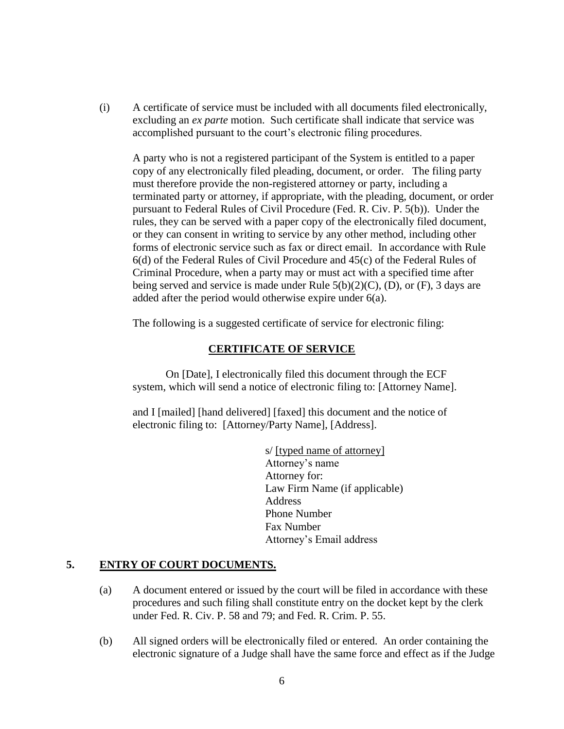(i) A certificate of service must be included with all documents filed electronically, excluding an *ex parte* motion. Such certificate shall indicate that service was accomplished pursuant to the court's electronic filing procedures.

A party who is not a registered participant of the System is entitled to a paper copy of any electronically filed pleading, document, or order. The filing party must therefore provide the non-registered attorney or party, including a terminated party or attorney, if appropriate, with the pleading, document, or order pursuant to Federal Rules of Civil Procedure (Fed. R. Civ. P. 5(b)). Under the rules, they can be served with a paper copy of the electronically filed document, or they can consent in writing to service by any other method, including other forms of electronic service such as fax or direct email. In accordance with Rule 6(d) of the Federal Rules of Civil Procedure and 45(c) of the Federal Rules of Criminal Procedure, when a party may or must act with a specified time after being served and service is made under Rule  $5(b)(2)(C)$ , (D), or (F), 3 days are added after the period would otherwise expire under 6(a).

The following is a suggested certificate of service for electronic filing:

### **CERTIFICATE OF SERVICE**

On [Date], I electronically filed this document through the ECF system, which will send a notice of electronic filing to: [Attorney Name].

and I [mailed] [hand delivered] [faxed] this document and the notice of electronic filing to: [Attorney/Party Name], [Address].

> s/ [typed name of attorney] Attorney's name Attorney for: Law Firm Name (if applicable) **Address** Phone Number Fax Number Attorney's Email address

### **5. ENTRY OF COURT DOCUMENTS.**

- (a) A document entered or issued by the court will be filed in accordance with these procedures and such filing shall constitute entry on the docket kept by the clerk under Fed. R. Civ. P. 58 and 79; and Fed. R. Crim. P. 55.
- (b) All signed orders will be electronically filed or entered. An order containing the electronic signature of a Judge shall have the same force and effect as if the Judge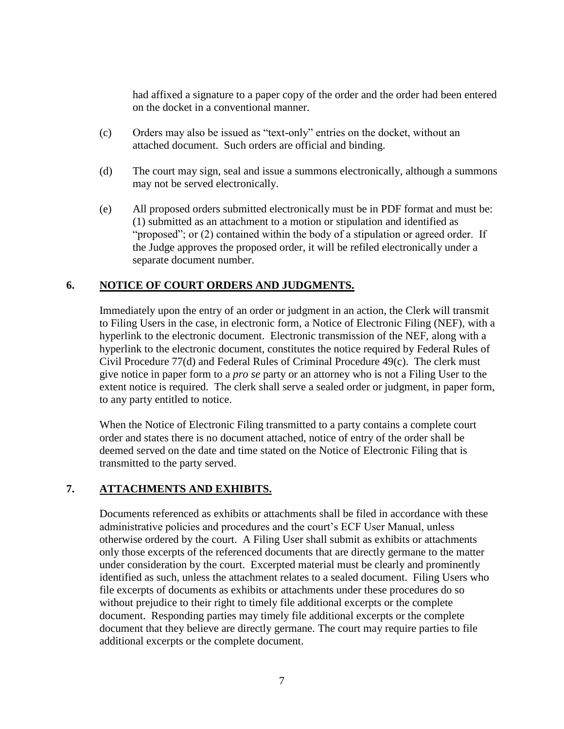had affixed a signature to a paper copy of the order and the order had been entered on the docket in a conventional manner.

- (c) Orders may also be issued as "text-only" entries on the docket, without an attached document. Such orders are official and binding.
- (d) The court may sign, seal and issue a summons electronically, although a summons may not be served electronically.
- (e) All proposed orders submitted electronically must be in PDF format and must be: (1) submitted as an attachment to a motion or stipulation and identified as "proposed"; or (2) contained within the body of a stipulation or agreed order. If the Judge approves the proposed order, it will be refiled electronically under a separate document number.

### **6. NOTICE OF COURT ORDERS AND JUDGMENTS.**

Immediately upon the entry of an order or judgment in an action, the Clerk will transmit to Filing Users in the case, in electronic form, a Notice of Electronic Filing (NEF), with a hyperlink to the electronic document. Electronic transmission of the NEF, along with a hyperlink to the electronic document, constitutes the notice required by Federal Rules of Civil Procedure 77(d) and Federal Rules of Criminal Procedure 49(c). The clerk must give notice in paper form to a *pro se* party or an attorney who is not a Filing User to the extent notice is required. The clerk shall serve a sealed order or judgment, in paper form, to any party entitled to notice.

When the Notice of Electronic Filing transmitted to a party contains a complete court order and states there is no document attached, notice of entry of the order shall be deemed served on the date and time stated on the Notice of Electronic Filing that is transmitted to the party served.

# **7. ATTACHMENTS AND EXHIBITS.**

Documents referenced as exhibits or attachments shall be filed in accordance with these administrative policies and procedures and the court's ECF User Manual, unless otherwise ordered by the court. A Filing User shall submit as exhibits or attachments only those excerpts of the referenced documents that are directly germane to the matter under consideration by the court. Excerpted material must be clearly and prominently identified as such, unless the attachment relates to a sealed document. Filing Users who file excerpts of documents as exhibits or attachments under these procedures do so without prejudice to their right to timely file additional excerpts or the complete document. Responding parties may timely file additional excerpts or the complete document that they believe are directly germane. The court may require parties to file additional excerpts or the complete document.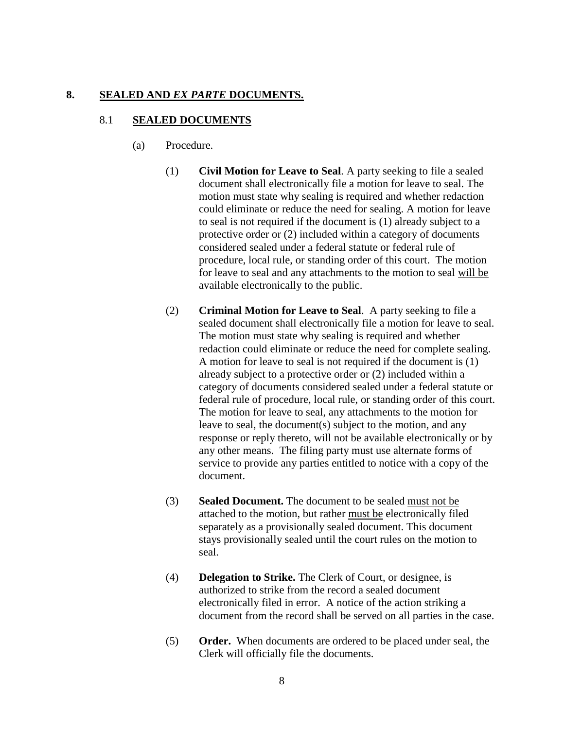#### **8. SEALED AND** *EX PARTE* **DOCUMENTS.**

#### 8.1 **SEALED DOCUMENTS**

- (a) Procedure.
	- (1) **Civil Motion for Leave to Seal**. A party seeking to file a sealed document shall electronically file a motion for leave to seal. The motion must state why sealing is required and whether redaction could eliminate or reduce the need for sealing. A motion for leave to seal is not required if the document is (1) already subject to a protective order or (2) included within a category of documents considered sealed under a federal statute or federal rule of procedure, local rule, or standing order of this court. The motion for leave to seal and any attachments to the motion to seal will be available electronically to the public.
	- (2) **Criminal Motion for Leave to Seal**. A party seeking to file a sealed document shall electronically file a motion for leave to seal. The motion must state why sealing is required and whether redaction could eliminate or reduce the need for complete sealing. A motion for leave to seal is not required if the document is (1) already subject to a protective order or (2) included within a category of documents considered sealed under a federal statute or federal rule of procedure, local rule, or standing order of this court. The motion for leave to seal, any attachments to the motion for leave to seal, the document(s) subject to the motion, and any response or reply thereto, will not be available electronically or by any other means. The filing party must use alternate forms of service to provide any parties entitled to notice with a copy of the document.
	- (3) **Sealed Document.** The document to be sealed must not be attached to the motion, but rather must be electronically filed separately as a provisionally sealed document. This document stays provisionally sealed until the court rules on the motion to seal.
	- (4) **Delegation to Strike.** The Clerk of Court, or designee, is authorized to strike from the record a sealed document electronically filed in error. A notice of the action striking a document from the record shall be served on all parties in the case.
	- (5) **Order.** When documents are ordered to be placed under seal, the Clerk will officially file the documents.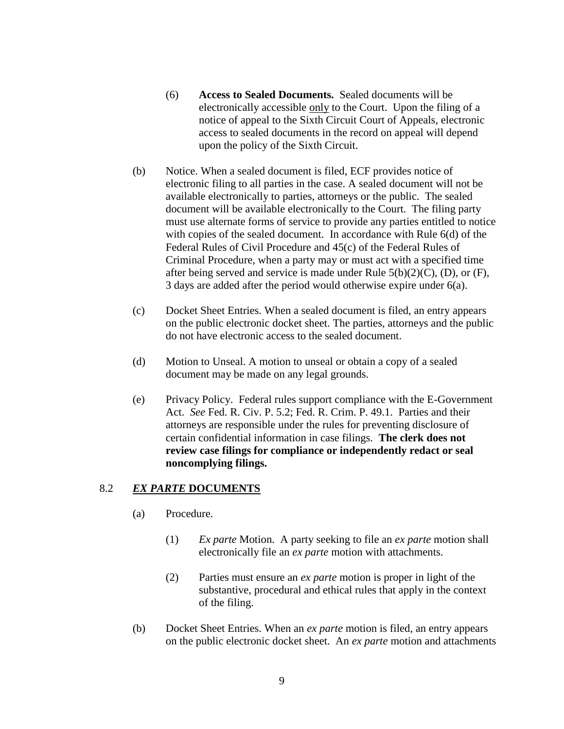- (6) **Access to Sealed Documents.** Sealed documents will be electronically accessible only to the Court. Upon the filing of a notice of appeal to the Sixth Circuit Court of Appeals, electronic access to sealed documents in the record on appeal will depend upon the policy of the Sixth Circuit.
- (b) Notice. When a sealed document is filed, ECF provides notice of electronic filing to all parties in the case. A sealed document will not be available electronically to parties, attorneys or the public. The sealed document will be available electronically to the Court. The filing party must use alternate forms of service to provide any parties entitled to notice with copies of the sealed document. In accordance with Rule 6(d) of the Federal Rules of Civil Procedure and 45(c) of the Federal Rules of Criminal Procedure, when a party may or must act with a specified time after being served and service is made under Rule  $5(b)(2)(C)$ , (D), or (F), 3 days are added after the period would otherwise expire under 6(a).
- (c) Docket Sheet Entries. When a sealed document is filed, an entry appears on the public electronic docket sheet. The parties, attorneys and the public do not have electronic access to the sealed document.
- (d) Motion to Unseal. A motion to unseal or obtain a copy of a sealed document may be made on any legal grounds.
- (e) Privacy Policy. Federal rules support compliance with the E-Government Act. *See* Fed. R. Civ. P. 5.2; Fed. R. Crim. P. 49.1. Parties and their attorneys are responsible under the rules for preventing disclosure of certain confidential information in case filings. **The clerk does not review case filings for compliance or independently redact or seal noncomplying filings.**

# 8.2 *EX PARTE* **DOCUMENTS**

- (a) Procedure.
	- (1) *Ex parte* Motion. A party seeking to file an *ex parte* motion shall electronically file an *ex parte* motion with attachments.
	- (2) Parties must ensure an *ex parte* motion is proper in light of the substantive, procedural and ethical rules that apply in the context of the filing.
- (b) Docket Sheet Entries. When an *ex parte* motion is filed, an entry appears on the public electronic docket sheet. An *ex parte* motion and attachments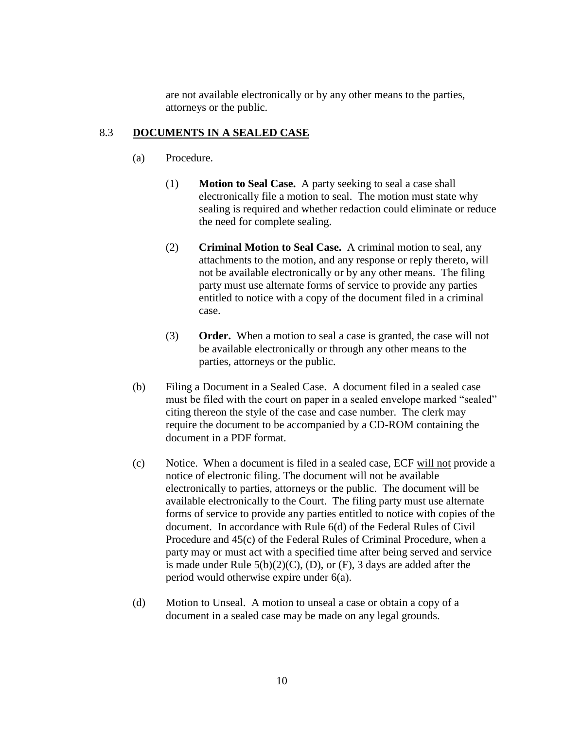are not available electronically or by any other means to the parties, attorneys or the public.

### 8.3 **DOCUMENTS IN A SEALED CASE**

- (a) Procedure.
	- (1) **Motion to Seal Case.** A party seeking to seal a case shall electronically file a motion to seal. The motion must state why sealing is required and whether redaction could eliminate or reduce the need for complete sealing.
	- (2) **Criminal Motion to Seal Case.** A criminal motion to seal, any attachments to the motion, and any response or reply thereto, will not be available electronically or by any other means. The filing party must use alternate forms of service to provide any parties entitled to notice with a copy of the document filed in a criminal case.
	- (3) **Order.** When a motion to seal a case is granted, the case will not be available electronically or through any other means to the parties, attorneys or the public.
- (b) Filing a Document in a Sealed Case. A document filed in a sealed case must be filed with the court on paper in a sealed envelope marked "sealed" citing thereon the style of the case and case number. The clerk may require the document to be accompanied by a CD-ROM containing the document in a PDF format.
- (c) Notice. When a document is filed in a sealed case, ECF will not provide a notice of electronic filing. The document will not be available electronically to parties, attorneys or the public. The document will be available electronically to the Court. The filing party must use alternate forms of service to provide any parties entitled to notice with copies of the document. In accordance with Rule 6(d) of the Federal Rules of Civil Procedure and 45(c) of the Federal Rules of Criminal Procedure, when a party may or must act with a specified time after being served and service is made under Rule  $5(b)(2)(C)$ , (D), or (F), 3 days are added after the period would otherwise expire under 6(a).
- (d) Motion to Unseal. A motion to unseal a case or obtain a copy of a document in a sealed case may be made on any legal grounds.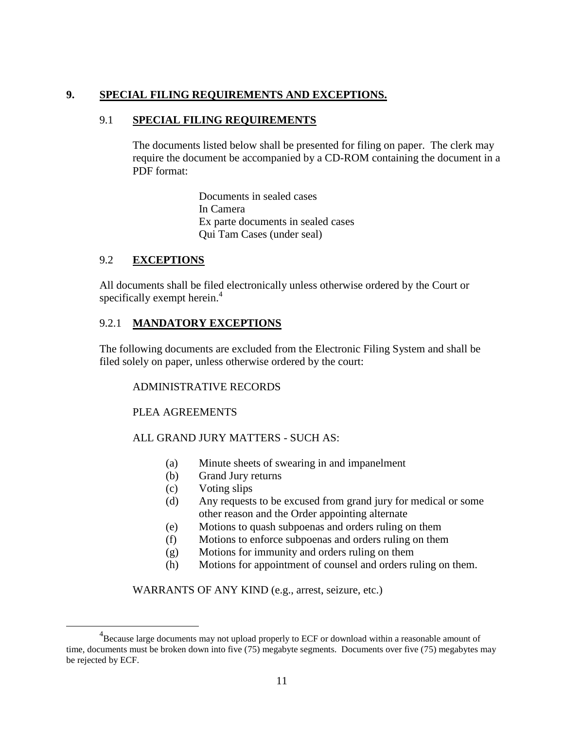# **9. SPECIAL FILING REQUIREMENTS AND EXCEPTIONS.**

### 9.1 **SPECIAL FILING REQUIREMENTS**

The documents listed below shall be presented for filing on paper. The clerk may require the document be accompanied by a CD-ROM containing the document in a PDF format:

> Documents in sealed cases In Camera Ex parte documents in sealed cases Qui Tam Cases (under seal)

### 9.2 **EXCEPTIONS**

 $\overline{a}$ 

All documents shall be filed electronically unless otherwise ordered by the Court or specifically exempt herein.<sup>4</sup>

# 9.2.1 **MANDATORY EXCEPTIONS**

The following documents are excluded from the Electronic Filing System and shall be filed solely on paper, unless otherwise ordered by the court:

### ADMINISTRATIVE RECORDS

### PLEA AGREEMENTS

# ALL GRAND JURY MATTERS - SUCH AS:

- (a) Minute sheets of swearing in and impanelment
- (b) Grand Jury returns
- (c) Voting slips
- (d) Any requests to be excused from grand jury for medical or some other reason and the Order appointing alternate
- (e) Motions to quash subpoenas and orders ruling on them
- (f) Motions to enforce subpoenas and orders ruling on them
- (g) Motions for immunity and orders ruling on them
- (h) Motions for appointment of counsel and orders ruling on them.

### WARRANTS OF ANY KIND (e.g., arrest, seizure, etc.)

 $^{4}$ Because large documents may not upload properly to ECF or download within a reasonable amount of time, documents must be broken down into five (75) megabyte segments. Documents over five (75) megabytes may be rejected by ECF.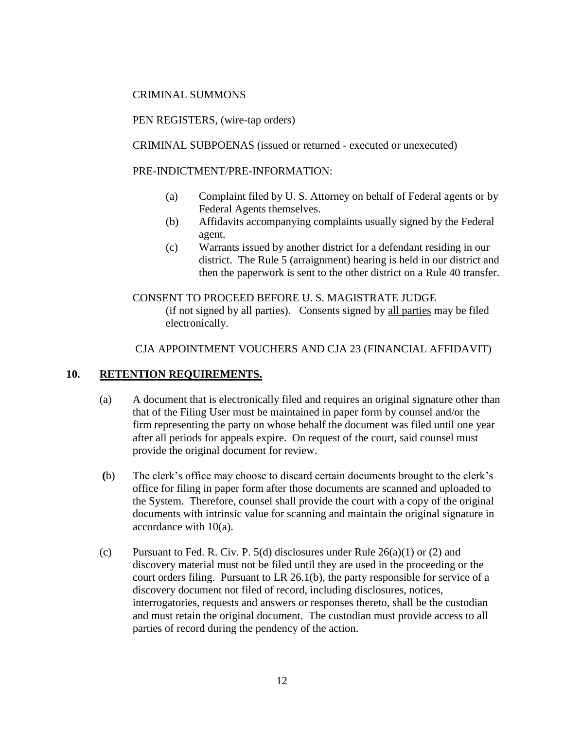### CRIMINAL SUMMONS

PEN REGISTERS, (wire-tap orders)

CRIMINAL SUBPOENAS (issued or returned - executed or unexecuted)

PRE-INDICTMENT/PRE-INFORMATION:

- (a) Complaint filed by U. S. Attorney on behalf of Federal agents or by Federal Agents themselves.
- (b) Affidavits accompanying complaints usually signed by the Federal agent.
- (c) Warrants issued by another district for a defendant residing in our district. The Rule 5 (arraignment) hearing is held in our district and then the paperwork is sent to the other district on a Rule 40 transfer.

CONSENT TO PROCEED BEFORE U. S. MAGISTRATE JUDGE (if not signed by all parties). Consents signed by all parties may be filed electronically.

CJA APPOINTMENT VOUCHERS AND CJA 23 (FINANCIAL AFFIDAVIT)

# **10. RETENTION REQUIREMENTS.**

- (a) A document that is electronically filed and requires an original signature other than that of the Filing User must be maintained in paper form by counsel and/or the firm representing the party on whose behalf the document was filed until one year after all periods for appeals expire. On request of the court, said counsel must provide the original document for review.
- **(**b) The clerk's office may choose to discard certain documents brought to the clerk's office for filing in paper form after those documents are scanned and uploaded to the System. Therefore, counsel shall provide the court with a copy of the original documents with intrinsic value for scanning and maintain the original signature in accordance with 10(a).
- (c) Pursuant to Fed. R. Civ. P. 5(d) disclosures under Rule  $26(a)(1)$  or (2) and discovery material must not be filed until they are used in the proceeding or the court orders filing. Pursuant to LR 26.1(b), the party responsible for service of a discovery document not filed of record, including disclosures, notices, interrogatories, requests and answers or responses thereto, shall be the custodian and must retain the original document. The custodian must provide access to all parties of record during the pendency of the action.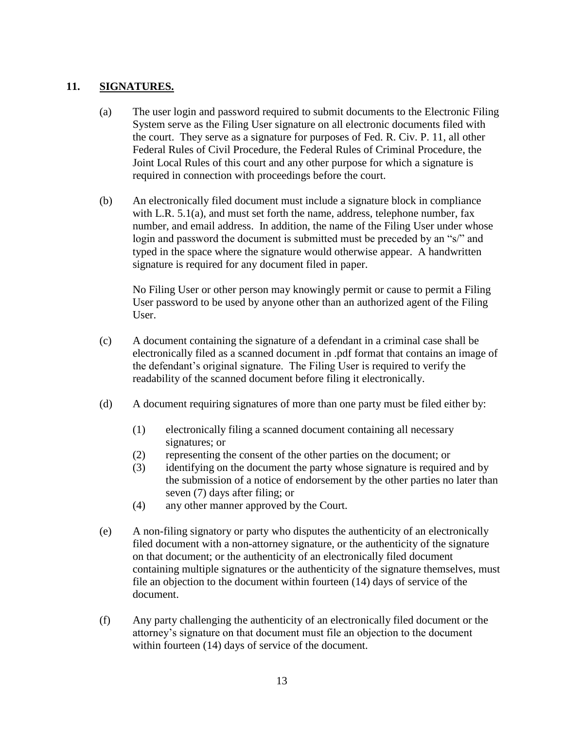# **11. SIGNATURES.**

- (a) The user login and password required to submit documents to the Electronic Filing System serve as the Filing User signature on all electronic documents filed with the court. They serve as a signature for purposes of Fed. R. Civ. P. 11, all other Federal Rules of Civil Procedure, the Federal Rules of Criminal Procedure, the Joint Local Rules of this court and any other purpose for which a signature is required in connection with proceedings before the court.
- (b) An electronically filed document must include a signature block in compliance with L.R. 5.1(a), and must set forth the name, address, telephone number, fax number, and email address. In addition, the name of the Filing User under whose login and password the document is submitted must be preceded by an "s/" and typed in the space where the signature would otherwise appear. A handwritten signature is required for any document filed in paper.

No Filing User or other person may knowingly permit or cause to permit a Filing User password to be used by anyone other than an authorized agent of the Filing User.

- (c) A document containing the signature of a defendant in a criminal case shall be electronically filed as a scanned document in .pdf format that contains an image of the defendant's original signature. The Filing User is required to verify the readability of the scanned document before filing it electronically.
- (d) A document requiring signatures of more than one party must be filed either by:
	- (1) electronically filing a scanned document containing all necessary signatures; or
	- (2) representing the consent of the other parties on the document; or
	- (3) identifying on the document the party whose signature is required and by the submission of a notice of endorsement by the other parties no later than seven (7) days after filing; or
	- (4) any other manner approved by the Court.
- (e) A non-filing signatory or party who disputes the authenticity of an electronically filed document with a non-attorney signature, or the authenticity of the signature on that document; or the authenticity of an electronically filed document containing multiple signatures or the authenticity of the signature themselves, must file an objection to the document within fourteen (14) days of service of the document.
- (f) Any party challenging the authenticity of an electronically filed document or the attorney's signature on that document must file an objection to the document within fourteen (14) days of service of the document.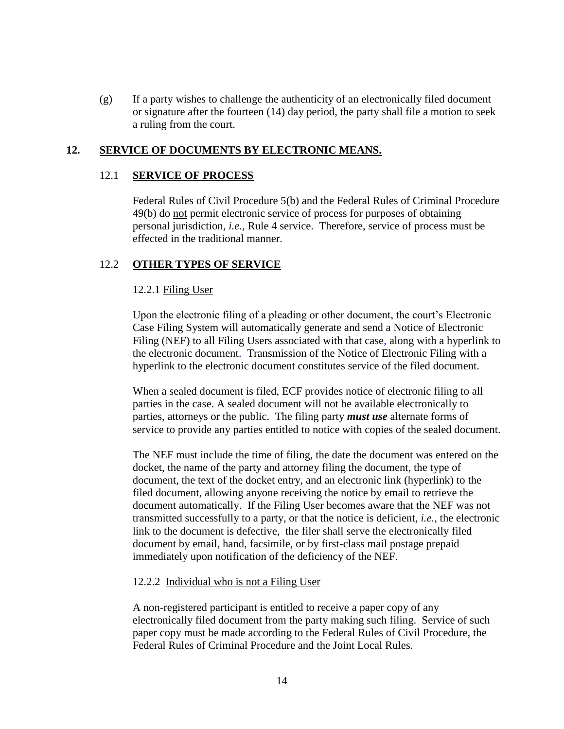(g) If a party wishes to challenge the authenticity of an electronically filed document or signature after the fourteen (14) day period, the party shall file a motion to seek a ruling from the court.

### **12. SERVICE OF DOCUMENTS BY ELECTRONIC MEANS.**

#### 12.1 **SERVICE OF PROCESS**

Federal Rules of Civil Procedure 5(b) and the Federal Rules of Criminal Procedure 49(b) do not permit electronic service of process for purposes of obtaining personal jurisdiction, *i.e.,* Rule 4 service. Therefore, service of process must be effected in the traditional manner.

#### 12.2 **OTHER TYPES OF SERVICE**

#### 12.2.1 Filing User

Upon the electronic filing of a pleading or other document, the court's Electronic Case Filing System will automatically generate and send a Notice of Electronic Filing (NEF) to all Filing Users associated with that case, along with a hyperlink to the electronic document. Transmission of the Notice of Electronic Filing with a hyperlink to the electronic document constitutes service of the filed document.

When a sealed document is filed, ECF provides notice of electronic filing to all parties in the case. A sealed document will not be available electronically to parties, attorneys or the public. The filing party *must use* alternate forms of service to provide any parties entitled to notice with copies of the sealed document.

The NEF must include the time of filing, the date the document was entered on the docket, the name of the party and attorney filing the document, the type of document, the text of the docket entry, and an electronic link (hyperlink) to the filed document, allowing anyone receiving the notice by email to retrieve the document automatically. If the Filing User becomes aware that the NEF was not transmitted successfully to a party, or that the notice is deficient, *i.e.,* the electronic link to the document is defective, the filer shall serve the electronically filed document by email, hand, facsimile, or by first-class mail postage prepaid immediately upon notification of the deficiency of the NEF.

#### 12.2.2 Individual who is not a Filing User

A non-registered participant is entitled to receive a paper copy of any electronically filed document from the party making such filing. Service of such paper copy must be made according to the Federal Rules of Civil Procedure, the Federal Rules of Criminal Procedure and the Joint Local Rules.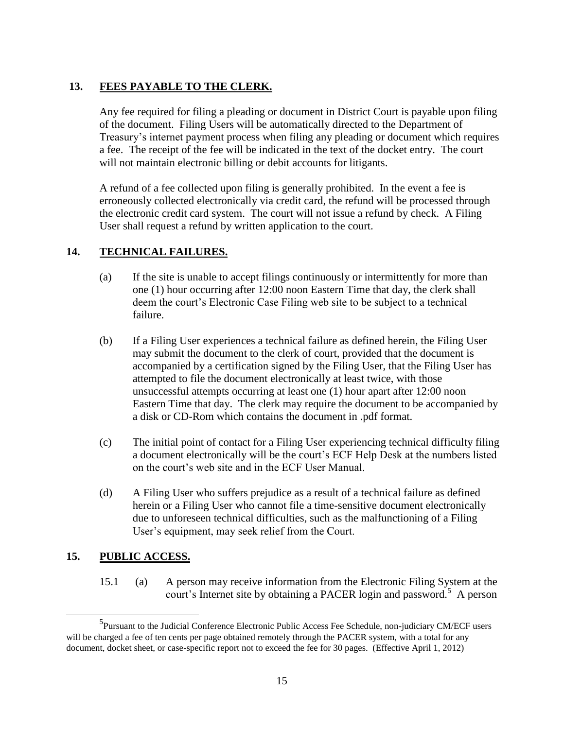# **13. FEES PAYABLE TO THE CLERK.**

Any fee required for filing a pleading or document in District Court is payable upon filing of the document. Filing Users will be automatically directed to the Department of Treasury's internet payment process when filing any pleading or document which requires a fee. The receipt of the fee will be indicated in the text of the docket entry. The court will not maintain electronic billing or debit accounts for litigants.

A refund of a fee collected upon filing is generally prohibited. In the event a fee is erroneously collected electronically via credit card, the refund will be processed through the electronic credit card system. The court will not issue a refund by check. A Filing User shall request a refund by written application to the court.

# **14. TECHNICAL FAILURES.**

- (a) If the site is unable to accept filings continuously or intermittently for more than one (1) hour occurring after 12:00 noon Eastern Time that day, the clerk shall deem the court's Electronic Case Filing web site to be subject to a technical failure.
- (b) If a Filing User experiences a technical failure as defined herein, the Filing User may submit the document to the clerk of court, provided that the document is accompanied by a certification signed by the Filing User, that the Filing User has attempted to file the document electronically at least twice, with those unsuccessful attempts occurring at least one (1) hour apart after 12:00 noon Eastern Time that day. The clerk may require the document to be accompanied by a disk or CD-Rom which contains the document in .pdf format.
- (c) The initial point of contact for a Filing User experiencing technical difficulty filing a document electronically will be the court's ECF Help Desk at the numbers listed on the court's web site and in the ECF User Manual.
- (d) A Filing User who suffers prejudice as a result of a technical failure as defined herein or a Filing User who cannot file a time-sensitive document electronically due to unforeseen technical difficulties, such as the malfunctioning of a Filing User's equipment, may seek relief from the Court.

# **15. PUBLIC ACCESS.**

 $\overline{a}$ 

15.1 (a) A person may receive information from the Electronic Filing System at the court's Internet site by obtaining a PACER login and password.<sup>5</sup> A person

<sup>&</sup>lt;sup>5</sup>Pursuant to the Judicial Conference Electronic Public Access Fee Schedule, non-judiciary CM/ECF users will be charged a fee of ten cents per page obtained remotely through the PACER system, with a total for any document, docket sheet, or case-specific report not to exceed the fee for 30 pages. (Effective April 1, 2012)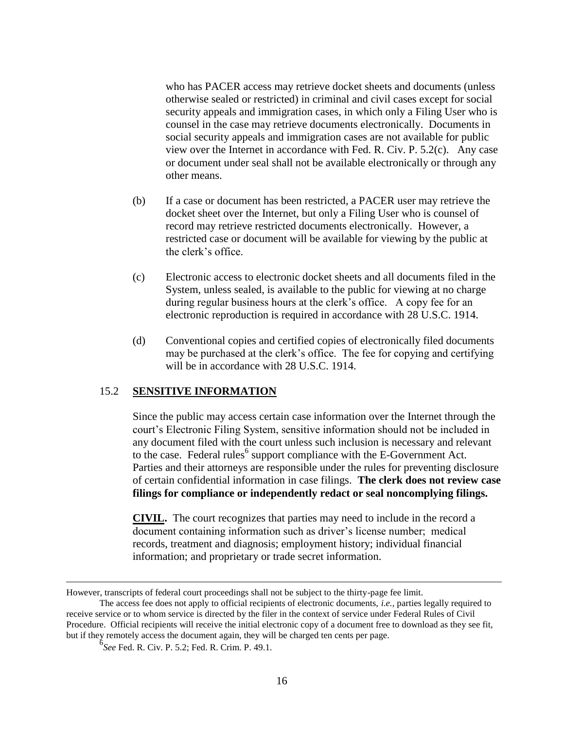who has PACER access may retrieve docket sheets and documents (unless otherwise sealed or restricted) in criminal and civil cases except for social security appeals and immigration cases, in which only a Filing User who is counsel in the case may retrieve documents electronically. Documents in social security appeals and immigration cases are not available for public view over the Internet in accordance with Fed. R. Civ. P. 5.2(c). Any case or document under seal shall not be available electronically or through any other means.

- (b) If a case or document has been restricted, a PACER user may retrieve the docket sheet over the Internet, but only a Filing User who is counsel of record may retrieve restricted documents electronically. However, a restricted case or document will be available for viewing by the public at the clerk's office.
- (c) Electronic access to electronic docket sheets and all documents filed in the System, unless sealed, is available to the public for viewing at no charge during regular business hours at the clerk's office. A copy fee for an electronic reproduction is required in accordance with 28 U.S.C. 1914.
- (d) Conventional copies and certified copies of electronically filed documents may be purchased at the clerk's office. The fee for copying and certifying will be in accordance with 28 U.S.C. 1914.

### 15.2 **SENSITIVE INFORMATION**

Since the public may access certain case information over the Internet through the court's Electronic Filing System, sensitive information should not be included in any document filed with the court unless such inclusion is necessary and relevant to the case. Federal rules<sup>6</sup> support compliance with the E-Government Act. Parties and their attorneys are responsible under the rules for preventing disclosure of certain confidential information in case filings. **The clerk does not review case filings for compliance or independently redact or seal noncomplying filings.** 

**CIVIL.** The court recognizes that parties may need to include in the record a document containing information such as driver's license number; medical records, treatment and diagnosis; employment history; individual financial information; and proprietary or trade secret information.

 $\overline{a}$ 

However, transcripts of federal court proceedings shall not be subject to the thirty-page fee limit.

The access fee does not apply to official recipients of electronic documents, *i.e.,* parties legally required to receive service or to whom service is directed by the filer in the context of service under Federal Rules of Civil Procedure. Official recipients will receive the initial electronic copy of a document free to download as they see fit, but if they remotely access the document again, they will be charged ten cents per page.

<sup>6</sup> *See* Fed. R. Civ. P. 5.2; Fed. R. Crim. P. 49.1.